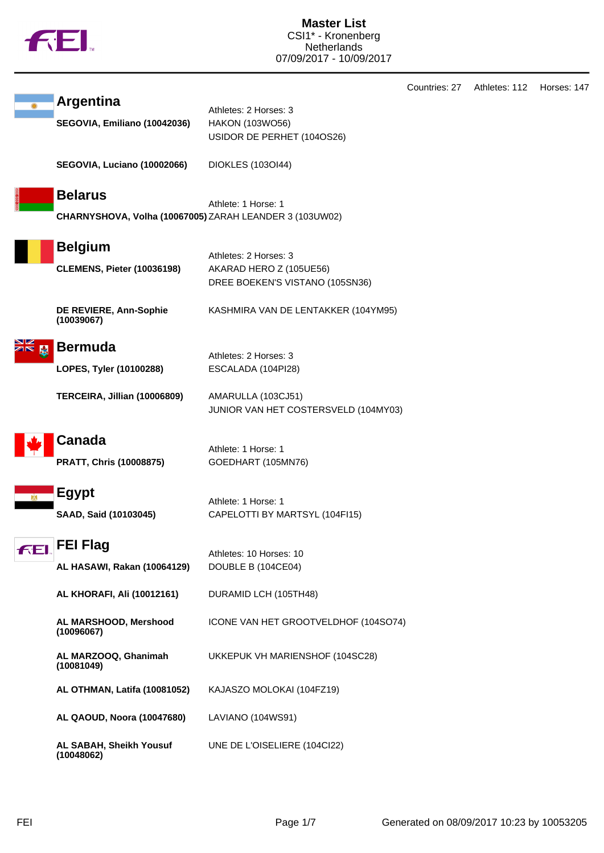

**Master List** CSI1\* - Kronenberg **Netherlands** 07/09/2017 - 10/09/2017

| <b>Argentina</b><br>SEGOVIA, Emiliano (10042036)                          | Athletes: 2 Horses: 3<br>HAKON (103WO56)<br>USIDOR DE PERHET (104OS26)              |
|---------------------------------------------------------------------------|-------------------------------------------------------------------------------------|
| <b>SEGOVIA, Luciano (10002066)</b>                                        | DIOKLES (1030144)                                                                   |
| <b>Belarus</b><br>CHARNYSHOVA, Volha (10067005) ZARAH LEANDER 3 (103UW02) | Athlete: 1 Horse: 1                                                                 |
| <b>Belgium</b><br><b>CLEMENS, Pieter (10036198)</b>                       | Athletes: 2 Horses: 3<br>AKARAD HERO Z (105UE56)<br>DREE BOEKEN'S VISTANO (105SN36) |
| DE REVIERE, Ann-Sophie<br>(10039067)                                      | KASHMIRA VAN DE LENTAKKER (104YM95)                                                 |
| <b>Bermuda</b><br>LOPES, Tyler (10100288)                                 | Athletes: 2 Horses: 3<br>ESCALADA (104PI28)                                         |
| TERCEIRA, Jillian (10006809)                                              | AMARULLA (103CJ51)<br>JUNIOR VAN HET COSTERSVELD (104MY03)                          |
| <b>Canada</b><br><b>PRATT, Chris (10008875)</b>                           | Athlete: 1 Horse: 1<br>GOEDHART (105MN76)                                           |
| <b>Egypt</b><br>SAAD, Said (10103045)                                     | Athlete: 1 Horse: 1<br>CAPELOTTI BY MARTSYL (104FI15)                               |
| <b>KEL</b> FEL Flag<br>AL HASAWI, Rakan (10064129)                        | Athletes: 10 Horses: 10<br>DOUBLE B (104CE04)                                       |
| AL KHORAFI, Ali (10012161)                                                | DURAMID LCH (105TH48)                                                               |
| AL MARSHOOD, Mershood<br>(10096067)                                       | ICONE VAN HET GROOTVELDHOF (104SO74)                                                |
| AL MARZOOQ, Ghanimah<br>(10081049)                                        | UKKEPUK VH MARIENSHOF (104SC28)                                                     |
| AL OTHMAN, Latifa (10081052)                                              | KAJASZO MOLOKAI (104FZ19)                                                           |
| AL QAOUD, Noora (10047680)                                                | LAVIANO (104WS91)                                                                   |
| AL SABAH, Sheikh Yousuf<br>(10048062)                                     | UNE DE L'OISELIERE (104Cl22)                                                        |

Countries: 27 Athletes: 112 Horses: 147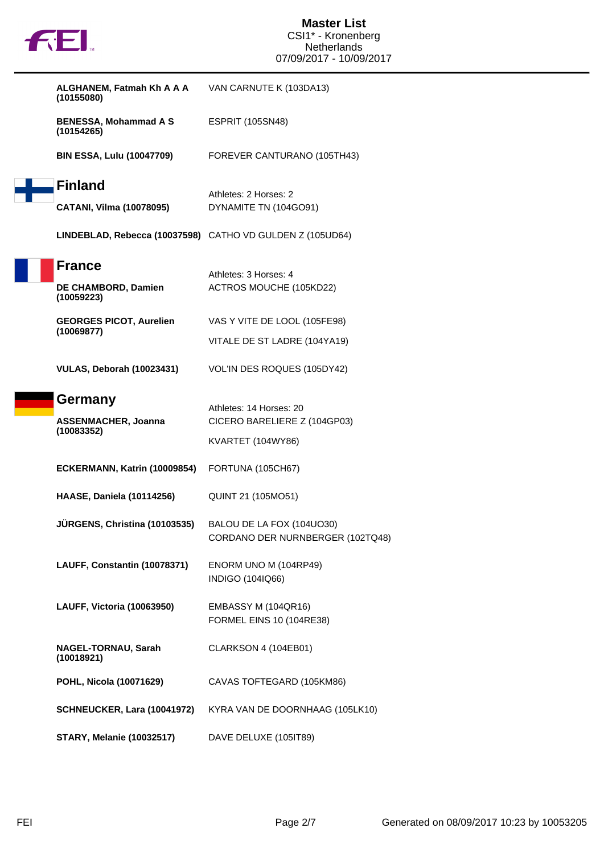| ALGHANEM, Fatmah Kh A A A<br>(10155080)                   | VAN CARNUTE K (103DA13)                                       |
|-----------------------------------------------------------|---------------------------------------------------------------|
| <b>BENESSA, Mohammad A S</b><br>(10154265)                | <b>ESPRIT (105SN48)</b>                                       |
| <b>BIN ESSA, Lulu (10047709)</b>                          | FOREVER CANTURANO (105TH43)                                   |
| <b>Finland</b>                                            |                                                               |
| CATANI, Vilma (10078095)                                  | Athletes: 2 Horses: 2<br>DYNAMITE TN (104GO91)                |
| LINDEBLAD, Rebecca (10037598) CATHO VD GULDEN Z (105UD64) |                                                               |
| <b>France</b><br>DE CHAMBORD, Damien<br>(10059223)        | Athletes: 3 Horses: 4<br>ACTROS MOUCHE (105KD22)              |
| <b>GEORGES PICOT, Aurelien</b>                            | VAS Y VITE DE LOOL (105FE98)                                  |
| (10069877)                                                | VITALE DE ST LADRE (104YA19)                                  |
| <b>VULAS, Deborah (10023431)</b>                          | VOL'IN DES ROQUES (105DY42)                                   |
| Germany                                                   |                                                               |
|                                                           | Athletes: 14 Horses: 20                                       |
| <b>ASSENMACHER, Joanna</b>                                | CICERO BARELIERE Z (104GP03)                                  |
| (10083352)                                                | <b>KVARTET (104WY86)</b>                                      |
| ECKERMANN, Katrin (10009854)                              | FORTUNA (105CH67)                                             |
| <b>HAASE, Daniela (10114256)</b>                          | QUINT 21 (105MO51)                                            |
| JÜRGENS, Christina (10103535)                             | BALOU DE LA FOX (104UO30)<br>CORDANO DER NURNBERGER (102TQ48) |
| LAUFF, Constantin (10078371)                              | ENORM UNO M (104RP49)<br>INDIGO (104IQ66)                     |
| <b>LAUFF, Victoria (10063950)</b>                         | EMBASSY M (104QR16)<br><b>FORMEL EINS 10 (104RE38)</b>        |
| <b>NAGEL-TORNAU, Sarah</b><br>(10018921)                  | CLARKSON 4 (104EB01)                                          |
| POHL, Nicola (10071629)                                   | CAVAS TOFTEGARD (105KM86)                                     |
| SCHNEUCKER, Lara (10041972)                               | KYRA VAN DE DOORNHAAG (105LK10)                               |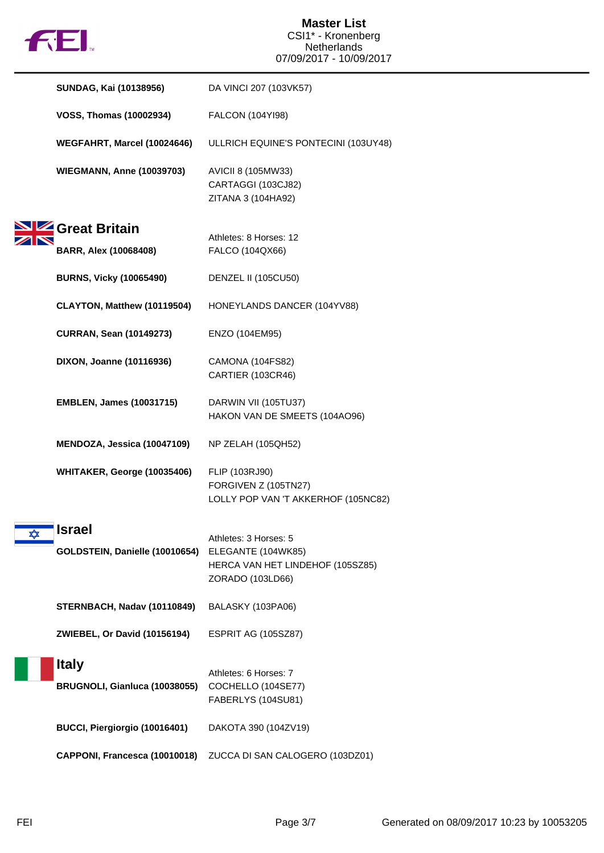

|   | SUNDAG, Kai (10138956)                          | DA VINCI 207 (103VK57)                                                                              |
|---|-------------------------------------------------|-----------------------------------------------------------------------------------------------------|
|   | <b>VOSS, Thomas (10002934)</b>                  | FALCON (104YI98)                                                                                    |
|   | WEGFAHRT, Marcel (10024646)                     | ULLRICH EQUINE'S PONTECINI (103UY48)                                                                |
|   | <b>WIEGMANN, Anne (10039703)</b>                | AVICII 8 (105MW33)<br>CARTAGGI (103CJ82)<br>ZITANA 3 (104HA92)                                      |
|   | Great Britain<br><b>BARR, Alex (10068408)</b>   | Athletes: 8 Horses: 12<br>FALCO (104QX66)                                                           |
|   | <b>BURNS, Vicky (10065490)</b>                  | <b>DENZEL II (105CU50)</b>                                                                          |
|   | CLAYTON, Matthew (10119504)                     | HONEYLANDS DANCER (104YV88)                                                                         |
|   | <b>CURRAN, Sean (10149273)</b>                  | ENZO (104EM95)                                                                                      |
|   | DIXON, Joanne (10116936)                        | CAMONA (104FS82)<br>CARTIER (103CR46)                                                               |
|   | <b>EMBLEN, James (10031715)</b>                 | DARWIN VII (105TU37)<br>HAKON VAN DE SMEETS (104AO96)                                               |
|   | MENDOZA, Jessica (10047109)                     | NP ZELAH (105QH52)                                                                                  |
|   | WHITAKER, George (10035406)                     | FLIP (103RJ90)<br>FORGIVEN Z (105TN27)<br>LOLLY POP VAN 'T AKKERHOF (105NC82)                       |
| ✿ | <b>Israel</b><br>GOLDSTEIN, Danielle (10010654) | Athletes: 3 Horses: 5<br>ELEGANTE (104WK85)<br>HERCA VAN HET LINDEHOF (105SZ85)<br>ZORADO (103LD66) |
|   | STERNBACH, Nadav (10110849)                     | BALASKY (103PA06)                                                                                   |
|   | <b>ZWIEBEL, Or David (10156194)</b>             | <b>ESPRIT AG (105SZ87)</b>                                                                          |
|   | <b>Italy</b><br>BRUGNOLI, Gianluca (10038055)   | Athletes: 6 Horses: 7<br>COCHELLO (104SE77)<br>FABERLYS (104SU81)                                   |
|   | BUCCI, Piergiorgio (10016401)                   | DAKOTA 390 (104ZV19)                                                                                |
|   | CAPPONI, Francesca (10010018)                   | ZUCCA DI SAN CALOGERO (103DZ01)                                                                     |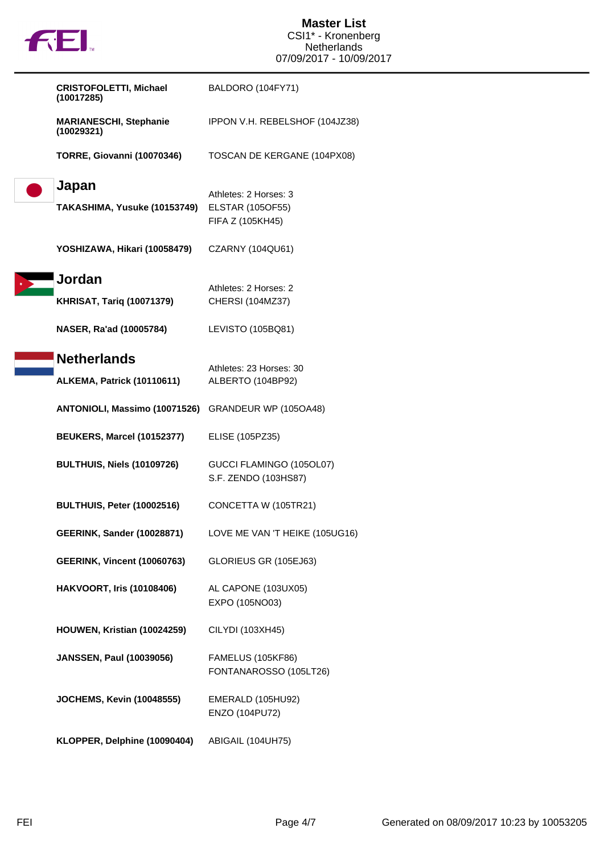|  | N |
|--|---|
|  |   |

| <b>CRISTOFOLETTI, Michael</b><br>(10017285) | BALDORO (104FY71)              |
|---------------------------------------------|--------------------------------|
| <b>MARIANESCHI, Stephanie</b><br>(10029321) | IPPON V.H. REBELSHOF (104JZ38) |
| <b>TORRE, Giovanni (10070346)</b>           | TOSCAN DE KERGANE (104PX08)    |
| Japan                                       | Athletes: 2 Horses: 3          |
| TAKASHIMA, Yusuke (10153749)                | <b>ELSTAR (105OF55)</b>        |
|                                             | FIFA Z (105KH45)               |
| YOSHIZAWA, Hikari (10058479)                | CZARNY (104QU61)               |
| Jordan                                      | Athletes: 2 Horses: 2          |
| <b>KHRISAT, Tariq (10071379)</b>            | CHERSI (104MZ37)               |
| NASER, Ra'ad (10005784)                     | LEVISTO (105BQ81)              |
| <b>Netherlands</b>                          |                                |
|                                             | Athletes: 23 Horses: 30        |
| <b>ALKEMA, Patrick (10110611)</b>           | ALBERTO (104BP92)              |
| ANTONIOLI, Massimo (10071526)               | GRANDEUR WP (105OA48)          |
| BEUKERS, Marcel (10152377)                  | ELISE (105PZ35)                |
| BULTHUIS, Niels (10109726)                  | GUCCI FLAMINGO (105OL07)       |
|                                             | S.F. ZENDO (103HS87)           |
| BULTHUIS, Peter (10002516)                  | CONCETTA W (105TR21)           |
| <b>GEERINK, Sander (10028871)</b>           | LOVE ME VAN 'T HEIKE (105UG16) |
|                                             |                                |
| <b>GEERINK, Vincent (10060763)</b>          | GLORIEUS GR (105EJ63)          |
| <b>HAKVOORT, Iris (10108406)</b>            | AL CAPONE (103UX05)            |
|                                             | EXPO (105NO03)                 |
| HOUWEN, Kristian (10024259)                 | CILYDI (103XH45)               |
|                                             |                                |
| <b>JANSSEN, Paul (10039056)</b>             | <b>FAMELUS (105KF86)</b>       |
|                                             | FONTANAROSSO (105LT26)         |
| <b>JOCHEMS, Kevin (10048555)</b>            | EMERALD (105HU92)              |
|                                             | ENZO (104PU72)                 |
| KLOPPER, Delphine (10090404)                | ABIGAIL (104UH75)              |

П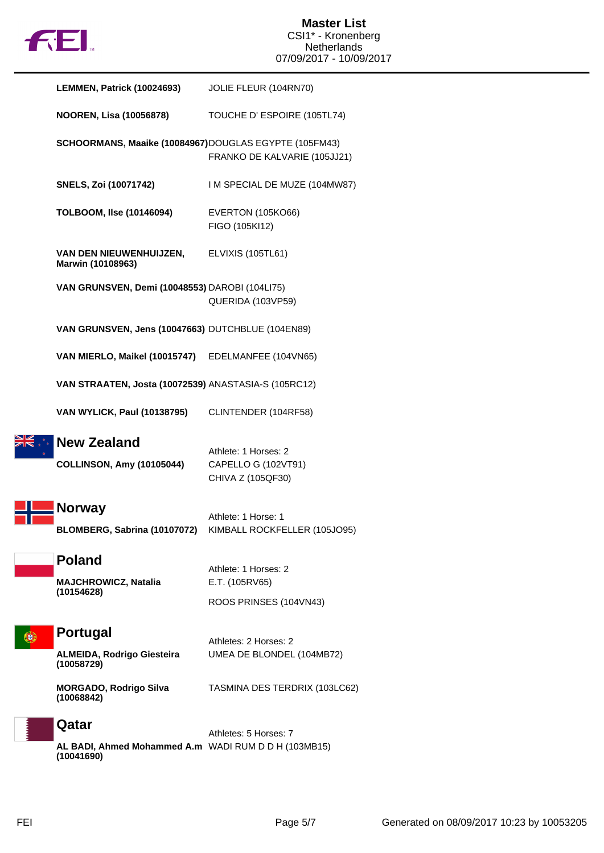

| LEMMEN, Patrick (10024693)                                         | JOLIE FLEUR (104RN70)                                            |
|--------------------------------------------------------------------|------------------------------------------------------------------|
| <b>NOOREN, Lisa (10056878)</b>                                     | TOUCHE D' ESPOIRE (105TL74)                                      |
| SCHOORMANS, Maaike (10084967)DOUGLAS EGYPTE (105FM43)              | FRANKO DE KALVARIE (105JJ21)                                     |
| <b>SNELS, Zoi (10071742)</b>                                       | I M SPECIAL DE MUZE (104MW87)                                    |
| <b>TOLBOOM, Ilse (10146094)</b>                                    | <b>EVERTON (105KO66)</b><br>FIGO (105KI12)                       |
| VAN DEN NIEUWENHUIJZEN,<br>Marwin (10108963)                       | ELVIXIS (105TL61)                                                |
| VAN GRUNSVEN, Demi (10048553) DAROBI (104LI75)                     | QUERIDA (103VP59)                                                |
| VAN GRUNSVEN, Jens (10047663) DUTCHBLUE (104EN89)                  |                                                                  |
| VAN MIERLO, Maikel (10015747) EDELMANFEE (104VN65)                 |                                                                  |
| VAN STRAATEN, Josta (10072539) ANASTASIA-S (105RC12)               |                                                                  |
| <b>VAN WYLICK, Paul (10138795)</b>                                 | CLINTENDER (104RF58)                                             |
| <b>New Zealand</b><br><b>COLLINSON, Amy (10105044)</b>             | Athlete: 1 Horses: 2<br>CAPELLO G (102VT91)<br>CHIVA Z (105QF30) |
| <b>Norway</b><br>BLOMBERG, Sabrina (10107072)                      | Athlete: 1 Horse: 1<br>KIMBALL ROCKFELLER (105JO95)              |
| <b>Poland</b><br><b>MAJCHROWICZ, Natalia</b><br>(10154628)         | Athlete: 1 Horses: 2<br>E.T. (105RV65)<br>ROOS PRINSES (104VN43) |
| <b>Portugal</b><br>ALMEIDA, Rodrigo Giesteira<br>(10058729)        | Athletes: 2 Horses: 2<br>UMEA DE BLONDEL (104MB72)               |
| <b>MORGADO, Rodrigo Silva</b><br>(10068842)                        | TASMINA DES TERDRIX (103LC62)                                    |
| Qatar                                                              | Athletes: 5 Horses: 7                                            |
| AL BADI, Ahmed Mohammed A.m WADI RUM D D H (103MB15)<br>(10041690) |                                                                  |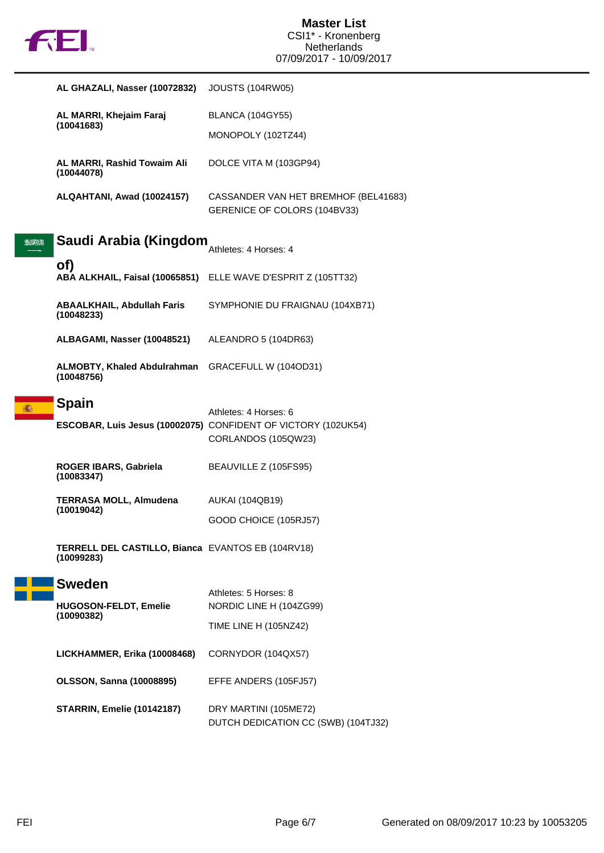

|      | AL GHAZALI, Nasser (10072832)                                   | <b>JOUSTS (104RW05)</b>                                                                     |
|------|-----------------------------------------------------------------|---------------------------------------------------------------------------------------------|
|      | AL MARRI, Khejaim Faraj<br>(10041683)                           | <b>BLANCA (104GY55)</b>                                                                     |
|      |                                                                 | MONOPOLY (102TZ44)                                                                          |
|      | AL MARRI, Rashid Towaim Ali<br>(10044078)                       | DOLCE VITA M (103GP94)                                                                      |
|      | ALQAHTANI, Awad (10024157)                                      | CASSANDER VAN HET BREMHOF (BEL41683)<br>GERENICE OF COLORS (104BV33)                        |
| BENN | Saudi Arabia (Kingdom                                           | Athletes: 4 Horses: 4                                                                       |
|      | of)                                                             | ABA ALKHAIL, Faisal (10065851) ELLE WAVE D'ESPRIT Z (105TT32)                               |
|      | <b>ABAALKHAIL, Abdullah Faris</b><br>(10048233)                 | SYMPHONIE DU FRAIGNAU (104XB71)                                                             |
|      | ALBAGAMI, Nasser (10048521)                                     | ALEANDRO 5 (104DR63)                                                                        |
|      | <b>ALMOBTY, Khaled Abdulrahman</b><br>(10048756)                | GRACEFULL W (104OD31)                                                                       |
|      | <b>Spain</b>                                                    | Athletes: 4 Horses: 6                                                                       |
|      |                                                                 | <b>ESCOBAR, Luis Jesus (10002075)</b> CONFIDENT OF VICTORY (102UK54)<br>CORLANDOS (105QW23) |
|      | ROGER IBARS, Gabriela<br>(10083347)                             | BEAUVILLE Z (105FS95)                                                                       |
|      |                                                                 |                                                                                             |
|      | <b>TERRASA MOLL, Almudena</b>                                   | <b>AUKAI (104QB19)</b>                                                                      |
|      | (10019042)                                                      | GOOD CHOICE (105RJ57)                                                                       |
|      | TERRELL DEL CASTILLO, Bianca EVANTOS EB (104RV18)<br>(10099283) |                                                                                             |
|      | <b>Sweden</b>                                                   |                                                                                             |
|      | HUGOSON-FELDT, Emelie                                           | Athletes: 5 Horses: 8<br>NORDIC LINE H (104ZG99)                                            |
|      | (10090382)                                                      | TIME LINE H (105NZ42)                                                                       |
|      | LICKHAMMER, Erika (10008468)                                    | CORNYDOR (104QX57)                                                                          |
|      | <b>OLSSON, Sanna (10008895)</b>                                 | EFFE ANDERS (105FJ57)                                                                       |